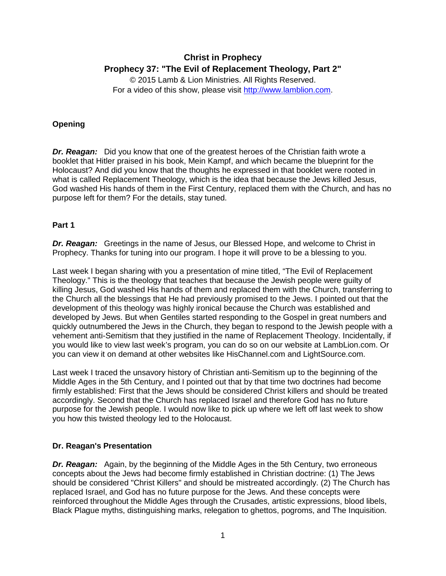# **Christ in Prophecy Prophecy 37: "The Evil of Replacement Theology, Part 2"**

© 2015 Lamb & Lion Ministries. All Rights Reserved. For a video of this show, please visit [http://www.lamblion.com.](http://www.lamblion.com/)

## **Opening**

*Dr. Reagan:* Did you know that one of the greatest heroes of the Christian faith wrote a booklet that Hitler praised in his book, Mein Kampf, and which became the blueprint for the Holocaust? And did you know that the thoughts he expressed in that booklet were rooted in what is called Replacement Theology, which is the idea that because the Jews killed Jesus, God washed His hands of them in the First Century, replaced them with the Church, and has no purpose left for them? For the details, stay tuned.

## **Part 1**

*Dr. Reagan:* Greetings in the name of Jesus, our Blessed Hope, and welcome to Christ in Prophecy. Thanks for tuning into our program. I hope it will prove to be a blessing to you.

Last week I began sharing with you a presentation of mine titled, "The Evil of Replacement Theology." This is the theology that teaches that because the Jewish people were guilty of killing Jesus, God washed His hands of them and replaced them with the Church, transferring to the Church all the blessings that He had previously promised to the Jews. I pointed out that the development of this theology was highly ironical because the Church was established and developed by Jews. But when Gentiles started responding to the Gospel in great numbers and quickly outnumbered the Jews in the Church, they began to respond to the Jewish people with a vehement anti-Semitism that they justified in the name of Replacement Theology. Incidentally, if you would like to view last week's program, you can do so on our website at LambLion.com. Or you can view it on demand at other websites like HisChannel.com and LightSource.com.

Last week I traced the unsavory history of Christian anti-Semitism up to the beginning of the Middle Ages in the 5th Century, and I pointed out that by that time two doctrines had become firmly established: First that the Jews should be considered Christ killers and should be treated accordingly. Second that the Church has replaced Israel and therefore God has no future purpose for the Jewish people. I would now like to pick up where we left off last week to show you how this twisted theology led to the Holocaust.

## **Dr. Reagan's Presentation**

*Dr. Reagan:* Again, by the beginning of the Middle Ages in the 5th Century, two erroneous concepts about the Jews had become firmly established in Christian doctrine: (1) The Jews should be considered "Christ Killers" and should be mistreated accordingly. (2) The Church has replaced Israel, and God has no future purpose for the Jews. And these concepts were reinforced throughout the Middle Ages through the Crusades, artistic expressions, blood libels, Black Plague myths, distinguishing marks, relegation to ghettos, pogroms, and The Inquisition.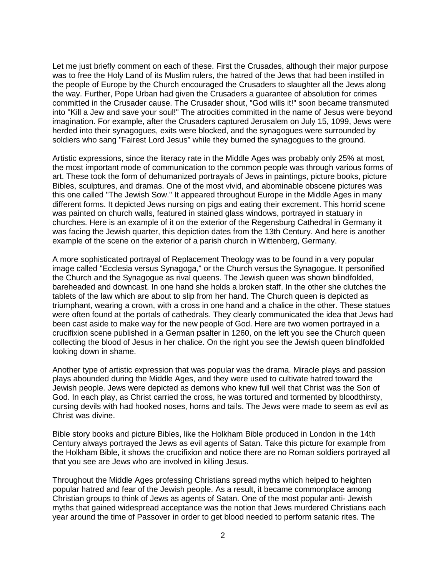Let me just briefly comment on each of these. First the Crusades, although their major purpose was to free the Holy Land of its Muslim rulers, the hatred of the Jews that had been instilled in the people of Europe by the Church encouraged the Crusaders to slaughter all the Jews along the way. Further, Pope Urban had given the Crusaders a guarantee of absolution for crimes committed in the Crusader cause. The Crusader shout, "God wills it!" soon became transmuted into "Kill a Jew and save your soul!" The atrocities committed in the name of Jesus were beyond imagination. For example, after the Crusaders captured Jerusalem on July 15, 1099, Jews were herded into their synagogues, exits were blocked, and the synagogues were surrounded by soldiers who sang "Fairest Lord Jesus" while they burned the synagogues to the ground.

Artistic expressions, since the literacy rate in the Middle Ages was probably only 25% at most, the most important mode of communication to the common people was through various forms of art. These took the form of dehumanized portrayals of Jews in paintings, picture books, picture Bibles, sculptures, and dramas. One of the most vivid, and abominable obscene pictures was this one called "The Jewish Sow." It appeared throughout Europe in the Middle Ages in many different forms. It depicted Jews nursing on pigs and eating their excrement. This horrid scene was painted on church walls, featured in stained glass windows, portrayed in statuary in churches. Here is an example of it on the exterior of the Regensburg Cathedral in Germany it was facing the Jewish quarter, this depiction dates from the 13th Century. And here is another example of the scene on the exterior of a parish church in Wittenberg, Germany.

A more sophisticated portrayal of Replacement Theology was to be found in a very popular image called "Ecclesia versus Synagoga," or the Church versus the Synagogue. It personified the Church and the Synagogue as rival queens. The Jewish queen was shown blindfolded, bareheaded and downcast. In one hand she holds a broken staff. In the other she clutches the tablets of the law which are about to slip from her hand. The Church queen is depicted as triumphant, wearing a crown, with a cross in one hand and a chalice in the other. These statues were often found at the portals of cathedrals. They clearly communicated the idea that Jews had been cast aside to make way for the new people of God. Here are two women portrayed in a crucifixion scene published in a German psalter in 1260, on the left you see the Church queen collecting the blood of Jesus in her chalice. On the right you see the Jewish queen blindfolded looking down in shame.

Another type of artistic expression that was popular was the drama. Miracle plays and passion plays abounded during the Middle Ages, and they were used to cultivate hatred toward the Jewish people. Jews were depicted as demons who knew full well that Christ was the Son of God. In each play, as Christ carried the cross, he was tortured and tormented by bloodthirsty, cursing devils with had hooked noses, horns and tails. The Jews were made to seem as evil as Christ was divine.

Bible story books and picture Bibles, like the Holkham Bible produced in London in the 14th Century always portrayed the Jews as evil agents of Satan. Take this picture for example from the Holkham Bible, it shows the crucifixion and notice there are no Roman soldiers portrayed all that you see are Jews who are involved in killing Jesus.

Throughout the Middle Ages professing Christians spread myths which helped to heighten popular hatred and fear of the Jewish people. As a result, it became commonplace among Christian groups to think of Jews as agents of Satan. One of the most popular anti- Jewish myths that gained widespread acceptance was the notion that Jews murdered Christians each year around the time of Passover in order to get blood needed to perform satanic rites. The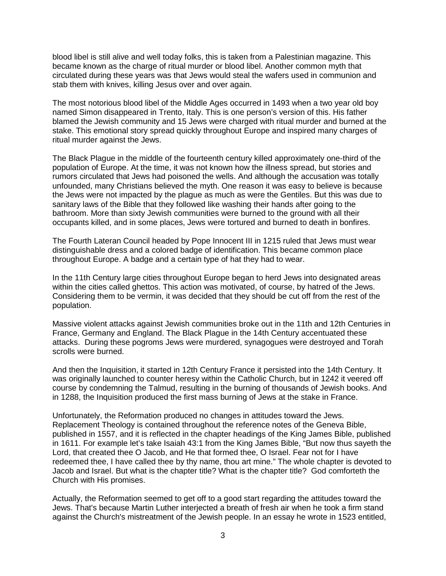blood libel is still alive and well today folks, this is taken from a Palestinian magazine. This became known as the charge of ritual murder or blood libel. Another common myth that circulated during these years was that Jews would steal the wafers used in communion and stab them with knives, killing Jesus over and over again.

The most notorious blood libel of the Middle Ages occurred in 1493 when a two year old boy named Simon disappeared in Trento, Italy. This is one person's version of this. His father blamed the Jewish community and 15 Jews were charged with ritual murder and burned at the stake. This emotional story spread quickly throughout Europe and inspired many charges of ritual murder against the Jews.

The Black Plague in the middle of the fourteenth century killed approximately one-third of the population of Europe. At the time, it was not known how the illness spread, but stories and rumors circulated that Jews had poisoned the wells. And although the accusation was totally unfounded, many Christians believed the myth. One reason it was easy to believe is because the Jews were not impacted by the plague as much as were the Gentiles. But this was due to sanitary laws of the Bible that they followed like washing their hands after going to the bathroom. More than sixty Jewish communities were burned to the ground with all their occupants killed, and in some places, Jews were tortured and burned to death in bonfires.

The Fourth Lateran Council headed by Pope Innocent III in 1215 ruled that Jews must wear distinguishable dress and a colored badge of identification. This became common place throughout Europe. A badge and a certain type of hat they had to wear.

In the 11th Century large cities throughout Europe began to herd Jews into designated areas within the cities called ghettos. This action was motivated, of course, by hatred of the Jews. Considering them to be vermin, it was decided that they should be cut off from the rest of the population.

Massive violent attacks against Jewish communities broke out in the 11th and 12th Centuries in France, Germany and England. The Black Plague in the 14th Century accentuated these attacks. During these pogroms Jews were murdered, synagogues were destroyed and Torah scrolls were burned.

And then the Inquisition, it started in 12th Century France it persisted into the 14th Century. It was originally launched to counter heresy within the Catholic Church, but in 1242 it veered off course by condemning the Talmud, resulting in the burning of thousands of Jewish books. And in 1288, the Inquisition produced the first mass burning of Jews at the stake in France.

Unfortunately, the Reformation produced no changes in attitudes toward the Jews. Replacement Theology is contained throughout the reference notes of the Geneva Bible, published in 1557, and it is reflected in the chapter headings of the King James Bible, published in 1611. For example let's take Isaiah 43:1 from the King James Bible, "But now thus sayeth the Lord, that created thee O Jacob, and He that formed thee, O Israel. Fear not for I have redeemed thee, I have called thee by thy name, thou art mine." The whole chapter is devoted to Jacob and Israel. But what is the chapter title? What is the chapter title? God comforteth the Church with His promises.

Actually, the Reformation seemed to get off to a good start regarding the attitudes toward the Jews. That's because Martin Luther interjected a breath of fresh air when he took a firm stand against the Church's mistreatment of the Jewish people. In an essay he wrote in 1523 entitled,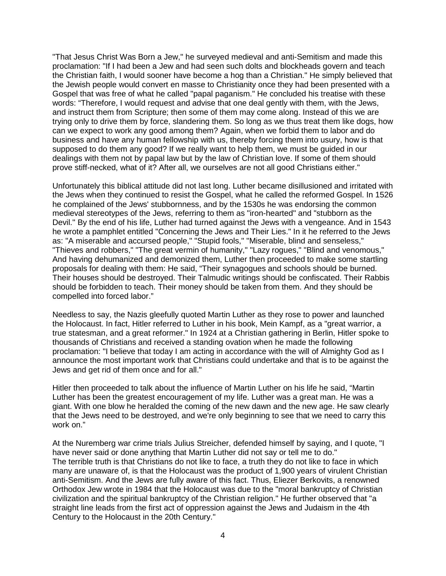"That Jesus Christ Was Born a Jew," he surveyed medieval and anti-Semitism and made this proclamation: "If I had been a Jew and had seen such dolts and blockheads govern and teach the Christian faith, I would sooner have become a hog than a Christian." He simply believed that the Jewish people would convert en masse to Christianity once they had been presented with a Gospel that was free of what he called "papal paganism." He concluded his treatise with these words: "Therefore, I would request and advise that one deal gently with them, with the Jews, and instruct them from Scripture; then some of them may come along. Instead of this we are trying only to drive them by force, slandering them. So long as we thus treat them like dogs, how can we expect to work any good among them? Again, when we forbid them to labor and do business and have any human fellowship with us, thereby forcing them into usury, how is that supposed to do them any good? If we really want to help them, we must be guided in our dealings with them not by papal law but by the law of Christian love. If some of them should prove stiff-necked, what of it? After all, we ourselves are not all good Christians either."

Unfortunately this biblical attitude did not last long. Luther became disillusioned and irritated with the Jews when they continued to resist the Gospel, what he called the reformed Gospel. In 1526 he complained of the Jews' stubbornness, and by the 1530s he was endorsing the common medieval stereotypes of the Jews, referring to them as "iron-hearted" and "stubborn as the Devil." By the end of his life, Luther had turned against the Jews with a vengeance. And in 1543 he wrote a pamphlet entitled "Concerning the Jews and Their Lies." In it he referred to the Jews as: "A miserable and accursed people," "Stupid fools," "Miserable, blind and senseless," "Thieves and robbers," "The great vermin of humanity," "Lazy rogues," "Blind and venomous," And having dehumanized and demonized them, Luther then proceeded to make some startling proposals for dealing with them: He said, "Their synagogues and schools should be burned. Their houses should be destroyed. Their Talmudic writings should be confiscated. Their Rabbis should be forbidden to teach. Their money should be taken from them. And they should be compelled into forced labor."

Needless to say, the Nazis gleefully quoted Martin Luther as they rose to power and launched the Holocaust. In fact, Hitler referred to Luther in his book, Mein Kampf, as a "great warrior, a true statesman, and a great reformer." In 1924 at a Christian gathering in Berlin, Hitler spoke to thousands of Christians and received a standing ovation when he made the following proclamation: "I believe that today I am acting in accordance with the will of Almighty God as I announce the most important work that Christians could undertake and that is to be against the Jews and get rid of them once and for all."

Hitler then proceeded to talk about the influence of Martin Luther on his life he said, "Martin Luther has been the greatest encouragement of my life. Luther was a great man. He was a giant. With one blow he heralded the coming of the new dawn and the new age. He saw clearly that the Jews need to be destroyed, and we're only beginning to see that we need to carry this work on."

At the Nuremberg war crime trials Julius Streicher, defended himself by saying, and I quote, "I have never said or done anything that Martin Luther did not say or tell me to do." The terrible truth is that Christians do not like to face, a truth they do not like to face in which many are unaware of, is that the Holocaust was the product of 1,900 years of virulent Christian anti-Semitism. And the Jews are fully aware of this fact. Thus, Eliezer Berkovits, a renowned Orthodox Jew wrote in 1984 that the Holocaust was due to the "moral bankruptcy of Christian civilization and the spiritual bankruptcy of the Christian religion." He further observed that "a straight line leads from the first act of oppression against the Jews and Judaism in the 4th Century to the Holocaust in the 20th Century."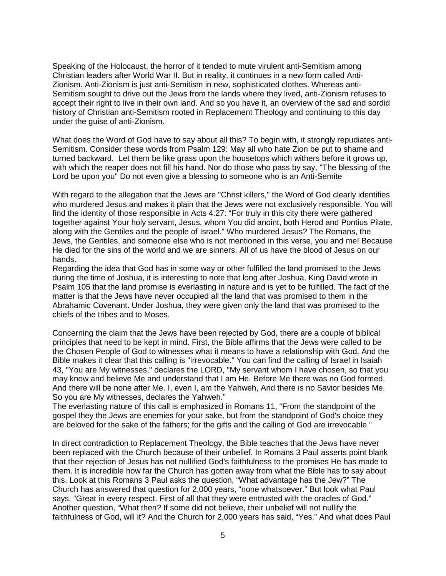Speaking of the Holocaust, the horror of it tended to mute virulent anti-Semitism among Christian leaders after World War II. But in reality, it continues in a new form called Anti-Zionism. Anti-Zionism is just anti-Semitism in new, sophisticated clothes. Whereas anti-Semitism sought to drive out the Jews from the lands where they lived, anti-Zionism refuses to accept their right to live in their own land. And so you have it, an overview of the sad and sordid history of Christian anti-Semitism rooted in Replacement Theology and continuing to this day under the guise of anti-Zionism.

What does the Word of God have to say about all this? To begin with, it strongly repudiates anti-Semitism. Consider these words from Psalm 129: May all who hate Zion be put to shame and turned backward. Let them be like grass upon the housetops which withers before it grows up, with which the reaper does not fill his hand. Nor do those who pass by say, "The blessing of the Lord be upon you" Do not even give a blessing to someone who is an Anti-Semite

With regard to the allegation that the Jews are "Christ killers," the Word of God clearly identifies who murdered Jesus and makes it plain that the Jews were not exclusively responsible. You will find the identity of those responsible in Acts 4:27: "For truly in this city there were gathered together against Your holy servant, Jesus, whom You did anoint, both Herod and Pontius Pilate, along with the Gentiles and the people of Israel." Who murdered Jesus? The Romans, the Jews, the Gentiles, and someone else who is not mentioned in this verse, you and me! Because He died for the sins of the world and we are sinners. All of us have the blood of Jesus on our hands.

Regarding the idea that God has in some way or other fulfilled the land promised to the Jews during the time of Joshua, it is interesting to note that long after Joshua, King David wrote in Psalm 105 that the land promise is everlasting in nature and is yet to be fulfilled. The fact of the matter is that the Jews have never occupied all the land that was promised to them in the Abrahamic Covenant. Under Joshua, they were given only the land that was promised to the chiefs of the tribes and to Moses.

Concerning the claim that the Jews have been rejected by God, there are a couple of biblical principles that need to be kept in mind. First, the Bible affirms that the Jews were called to be the Chosen People of God to witnesses what it means to have a relationship with God. And the Bible makes it clear that this calling is "irrevocable." You can find the calling of Israel in Isaiah 43, "You are My witnesses," declares the LORD, "My servant whom I have chosen, so that you may know and believe Me and understand that I am He. Before Me there was no God formed, And there will be none after Me. I, even I, am the Yahweh, And there is no Savior besides Me. So you are My witnesses, declares the Yahweh."

The everlasting nature of this call is emphasized in Romans 11, "From the standpoint of the gospel they the Jews are enemies for your sake, but from the standpoint of God's choice they are beloved for the sake of the fathers; for the gifts and the calling of God are irrevocable."

In direct contradiction to Replacement Theology, the Bible teaches that the Jews have never been replaced with the Church because of their unbelief. In Romans 3 Paul asserts point blank that their rejection of Jesus has not nullified God's faithfulness to the promises He has made to them. It is incredible how far the Church has gotten away from what the Bible has to say about this. Look at this Romans 3 Paul asks the question, "What advantage has the Jew?" The Church has answered that question for 2,000 years, "none whatsoever." But look what Paul says, "Great in every respect. First of all that they were entrusted with the oracles of God." Another question, "What then? If some did not believe, their unbelief will not nullify the faithfulness of God, will it? And the Church for 2,000 years has said, "Yes." And what does Paul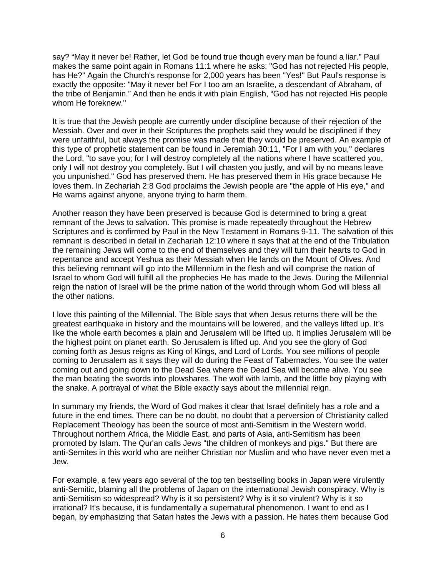say? "May it never be! Rather, let God be found true though every man be found a liar." Paul makes the same point again in Romans 11:1 where he asks: "God has not rejected His people, has He?" Again the Church's response for 2,000 years has been "Yes!" But Paul's response is exactly the opposite: "May it never be! For I too am an Israelite, a descendant of Abraham, of the tribe of Benjamin." And then he ends it with plain English, "God has not rejected His people whom He foreknew."

It is true that the Jewish people are currently under discipline because of their rejection of the Messiah. Over and over in their Scriptures the prophets said they would be disciplined if they were unfaithful, but always the promise was made that they would be preserved. An example of this type of prophetic statement can be found in Jeremiah 30:11, "For I am with you," declares the Lord, "to save you; for I will destroy completely all the nations where I have scattered you, only I will not destroy you completely. But I will chasten you justly, and will by no means leave you unpunished." God has preserved them. He has preserved them in His grace because He loves them. In Zechariah 2:8 God proclaims the Jewish people are "the apple of His eye," and He warns against anyone, anyone trying to harm them.

Another reason they have been preserved is because God is determined to bring a great remnant of the Jews to salvation. This promise is made repeatedly throughout the Hebrew Scriptures and is confirmed by Paul in the New Testament in Romans 9-11. The salvation of this remnant is described in detail in Zechariah 12:10 where it says that at the end of the Tribulation the remaining Jews will come to the end of themselves and they will turn their hearts to God in repentance and accept Yeshua as their Messiah when He lands on the Mount of Olives. And this believing remnant will go into the Millennium in the flesh and will comprise the nation of Israel to whom God will fulfill all the prophecies He has made to the Jews. During the Millennial reign the nation of Israel will be the prime nation of the world through whom God will bless all the other nations.

I love this painting of the Millennial. The Bible says that when Jesus returns there will be the greatest earthquake in history and the mountains will be lowered, and the valleys lifted up. It's like the whole earth becomes a plain and Jerusalem will be lifted up. It implies Jerusalem will be the highest point on planet earth. So Jerusalem is lifted up. And you see the glory of God coming forth as Jesus reigns as King of Kings, and Lord of Lords. You see millions of people coming to Jerusalem as it says they will do during the Feast of Tabernacles. You see the water coming out and going down to the Dead Sea where the Dead Sea will become alive. You see the man beating the swords into plowshares. The wolf with lamb, and the little boy playing with the snake. A portrayal of what the Bible exactly says about the millennial reign.

In summary my friends, the Word of God makes it clear that Israel definitely has a role and a future in the end times. There can be no doubt, no doubt that a perversion of Christianity called Replacement Theology has been the source of most anti-Semitism in the Western world. Throughout northern Africa, the Middle East, and parts of Asia, anti-Semitism has been promoted by Islam. The Qur'an calls Jews "the children of monkeys and pigs." But there are anti-Semites in this world who are neither Christian nor Muslim and who have never even met a Jew.

For example, a few years ago several of the top ten bestselling books in Japan were virulently anti-Semitic, blaming all the problems of Japan on the international Jewish conspiracy. Why is anti-Semitism so widespread? Why is it so persistent? Why is it so virulent? Why is it so irrational? It's because, it is fundamentally a supernatural phenomenon. I want to end as I began, by emphasizing that Satan hates the Jews with a passion. He hates them because God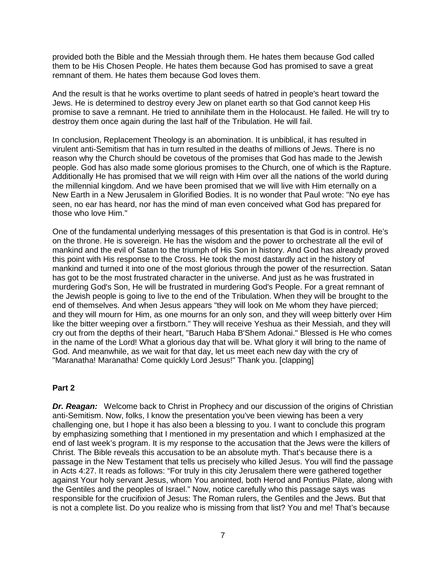provided both the Bible and the Messiah through them. He hates them because God called them to be His Chosen People. He hates them because God has promised to save a great remnant of them. He hates them because God loves them.

And the result is that he works overtime to plant seeds of hatred in people's heart toward the Jews. He is determined to destroy every Jew on planet earth so that God cannot keep His promise to save a remnant. He tried to annihilate them in the Holocaust. He failed. He will try to destroy them once again during the last half of the Tribulation. He will fail.

In conclusion, Replacement Theology is an abomination. It is unbiblical, it has resulted in virulent anti-Semitism that has in turn resulted in the deaths of millions of Jews. There is no reason why the Church should be covetous of the promises that God has made to the Jewish people. God has also made some glorious promises to the Church, one of which is the Rapture. Additionally He has promised that we will reign with Him over all the nations of the world during the millennial kingdom. And we have been promised that we will live with Him eternally on a New Earth in a New Jerusalem in Glorified Bodies. It is no wonder that Paul wrote: "No eye has seen, no ear has heard, nor has the mind of man even conceived what God has prepared for those who love Him."

One of the fundamental underlying messages of this presentation is that God is in control. He's on the throne. He is sovereign. He has the wisdom and the power to orchestrate all the evil of mankind and the evil of Satan to the triumph of His Son in history. And God has already proved this point with His response to the Cross. He took the most dastardly act in the history of mankind and turned it into one of the most glorious through the power of the resurrection. Satan has got to be the most frustrated character in the universe. And just as he was frustrated in murdering God's Son, He will be frustrated in murdering God's People. For a great remnant of the Jewish people is going to live to the end of the Tribulation. When they will be brought to the end of themselves. And when Jesus appears "they will look on Me whom they have pierced; and they will mourn for Him, as one mourns for an only son, and they will weep bitterly over Him like the bitter weeping over a firstborn." They will receive Yeshua as their Messiah, and they will cry out from the depths of their heart, "Baruch Haba B'Shem Adonai." Blessed is He who comes in the name of the Lord! What a glorious day that will be. What glory it will bring to the name of God. And meanwhile, as we wait for that day, let us meet each new day with the cry of "Maranatha! Maranatha! Come quickly Lord Jesus!" Thank you. [clapping]

#### **Part 2**

*Dr. Reagan:* Welcome back to Christ in Prophecy and our discussion of the origins of Christian anti-Semitism. Now, folks, I know the presentation you've been viewing has been a very challenging one, but I hope it has also been a blessing to you. I want to conclude this program by emphasizing something that I mentioned in my presentation and which I emphasized at the end of last week's program. It is my response to the accusation that the Jews were the killers of Christ. The Bible reveals this accusation to be an absolute myth. That's because there is a passage in the New Testament that tells us precisely who killed Jesus. You will find the passage in Acts 4:27. It reads as follows: "For truly in this city Jerusalem there were gathered together against Your holy servant Jesus, whom You anointed, both Herod and Pontius Pilate, along with the Gentiles and the peoples of Israel." Now, notice carefully who this passage says was responsible for the crucifixion of Jesus: The Roman rulers, the Gentiles and the Jews. But that is not a complete list. Do you realize who is missing from that list? You and me! That's because